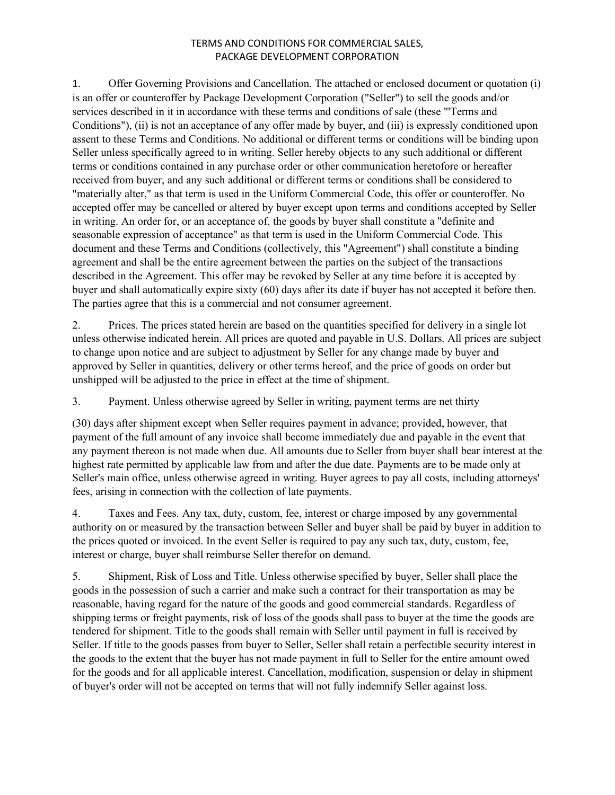1. Offer Governing Provisions and Cancellation. The attached or enclosed document or quotation (i) is an offer or counteroffer by Package Development Corporation ("Seller") to sell the goods and/or services described in it in accordance with these terms and conditions of sale (these "'Terms and Conditions"), (ii) is not an acceptance of any offer made by buyer, and (iii) is expressly conditioned upon assent to these Terms and Conditions. No additional or different terms or conditions will be binding upon Seller unless specifically agreed to in writing. Seller hereby objects to any such additional or different terms or conditions contained in any purchase order or other communication heretofore or hereafter received from buyer, and any such additional or different terms or conditions shall be considered to "materially alter," as that term is used in the Uniform Commercial Code, this offer or counteroffer. No accepted offer may be cancelled or altered by buyer except upon terms and conditions accepted by Seller in writing. An order for, or an acceptance of, the goods by buyer shall constitute a "definite and seasonable expression of acceptance" as that term is used in the Uniform Commercial Code. This document and these Terms and Conditions (collectively, this "Agreement") shall constitute a binding agreement and shall be the entire agreement between the parties on the subject of the transactions described in the Agreement. This offer may be revoked by Seller at any time before it is accepted by buyer and shall automatically expire sixty (60) days after its date if buyer has not accepted it before then. The parties agree that this is a commercial and not consumer agreement.

2. Prices. The prices stated herein are based on the quantities specified for delivery in a single lot unless otherwise indicated herein. All prices are quoted and payable in U.S. Dollars. All prices are subject to change upon notice and are subject to adjustment by Seller for any change made by buyer and approved by Seller in quantities, delivery or other terms hereof, and the price of goods on order but unshipped will be adjusted to the price in effect at the time of shipment.

3. Payment. Unless otherwise agreed by Seller in writing, payment terms are net thirty

(30) days after shipment except when Seller requires payment in advance; provided, however, that payment of the full amount of any invoice shall become immediately due and payable in the event that any payment thereon is not made when due. All amounts due to Seller from buyer shall bear interest at the highest rate permitted by applicable law from and after the due date. Payments are to be made only at Seller's main office, unless otherwise agreed in writing. Buyer agrees to pay all costs, including attorneys' fees, arising in connection with the collection of late payments.

4. Taxes and Fees. Any tax, duty, custom, fee, interest or charge imposed by any governmental authority on or measured by the transaction between Seller and buyer shall be paid by buyer in addition to the prices quoted or invoiced. In the event Seller is required to pay any such tax, duty, custom, fee, interest or charge, buyer shall reimburse Seller therefor on demand.

5. Shipment, Risk of Loss and Title. Unless otherwise specified by buyer, Seller shall place the goods in the possession of such a carrier and make such a contract for their transportation as may be reasonable, having regard for the nature of the goods and good commercial standards. Regardless of shipping terms or freight payments, risk of loss of the goods shall pass to buyer at the time the goods are tendered for shipment. Title to the goods shall remain with Seller until payment in full is received by Seller. If title to the goods passes from buyer to Seller, Seller shall retain a perfectible security interest in the goods to the extent that the buyer has not made payment in full to Seller for the entire amount owed for the goods and for all applicable interest. Cancellation, modification, suspension or delay in shipment of buyer's order will not be accepted on terms that will not fully indemnify Seller against loss.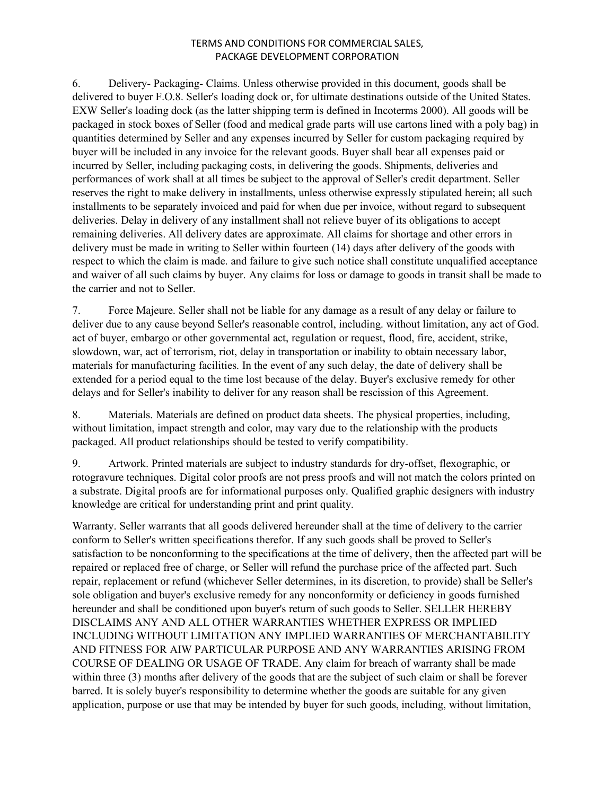6. Delivery- Packaging- Claims. Unless otherwise provided in this document, goods shall be delivered to buyer F.O.8. Seller's loading dock or, for ultimate destinations outside of the United States. EXW Seller's loading dock (as the latter shipping term is defined in Incoterms 2000). All goods will be packaged in stock boxes of Seller (food and medical grade parts will use cartons lined with a poly bag) in quantities determined by Seller and any expenses incurred by Seller for custom packaging required by buyer will be included in any invoice for the relevant goods. Buyer shall bear all expenses paid or incurred by Seller, including packaging costs, in delivering the goods. Shipments, deliveries and performances of work shall at all times be subject to the approval of Seller's credit department. Seller reserves the right to make delivery in installments, unless otherwise expressly stipulated herein; all such installments to be separately invoiced and paid for when due per invoice, without regard to subsequent deliveries. Delay in delivery of any installment shall not relieve buyer of its obligations to accept remaining deliveries. All delivery dates are approximate. All claims for shortage and other errors in delivery must be made in writing to Seller within fourteen (14) days after delivery of the goods with respect to which the claim is made. and failure to give such notice shall constitute unqualified acceptance and waiver of all such claims by buyer. Any claims for loss or damage to goods in transit shall be made to the carrier and not to Seller.

7. Force Majeure. Seller shall not be liable for any damage as a result of any delay or failure to deliver due to any cause beyond Seller's reasonable control, including. without limitation, any act of God. act of buyer, embargo or other governmental act, regulation or request, flood, fire, accident, strike, slowdown, war, act of terrorism, riot, delay in transportation or inability to obtain necessary labor, materials for manufacturing facilities. In the event of any such delay, the date of delivery shall be extended for a period equal to the time lost because of the delay. Buyer's exclusive remedy for other delays and for Seller's inability to deliver for any reason shall be rescission of this Agreement.

8. Materials. Materials are defined on product data sheets. The physical properties, including, without limitation, impact strength and color, may vary due to the relationship with the products packaged. All product relationships should be tested to verify compatibility.

9. Artwork. Printed materials are subject to industry standards for dry-offset, flexographic, or rotogravure techniques. Digital color proofs are not press proofs and will not match the colors printed on a substrate. Digital proofs are for informational purposes only. Qualified graphic designers with industry knowledge are critical for understanding print and print quality.

Warranty. Seller warrants that all goods delivered hereunder shall at the time of delivery to the carrier conform to Seller's written specifications therefor. If any such goods shall be proved to Seller's satisfaction to be nonconforming to the specifications at the time of delivery, then the affected part will be repaired or replaced free of charge, or Seller will refund the purchase price of the affected part. Such repair, replacement or refund (whichever Seller determines, in its discretion, to provide) shall be Seller's sole obligation and buyer's exclusive remedy for any nonconformity or deficiency in goods furnished hereunder and shall be conditioned upon buyer's return of such goods to Seller. SELLER HEREBY DISCLAIMS ANY AND ALL OTHER WARRANTIES WHETHER EXPRESS OR IMPLIED INCLUDING WITHOUT LIMITATION ANY IMPLIED WARRANTIES OF MERCHANTABILITY AND FITNESS FOR AIW PARTICULAR PURPOSE AND ANY WARRANTIES ARISING FROM COURSE OF DEALING OR USAGE OF TRADE. Any claim for breach of warranty shall be made within three (3) months after delivery of the goods that are the subject of such claim or shall be forever barred. It is solely buyer's responsibility to determine whether the goods are suitable for any given application, purpose or use that may be intended by buyer for such goods, including, without limitation,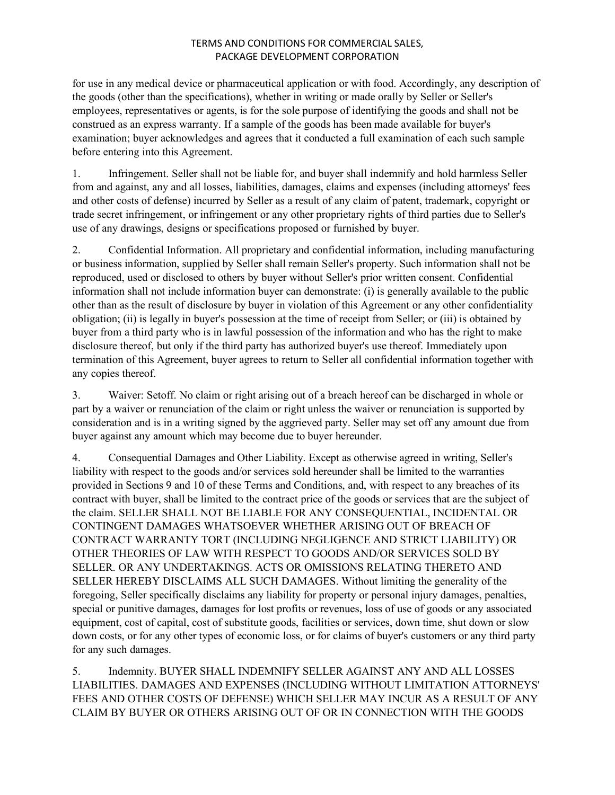for use in any medical device or pharmaceutical application or with food. Accordingly, any description of the goods (other than the specifications), whether in writing or made orally by Seller or Seller's employees, representatives or agents, is for the sole purpose of identifying the goods and shall not be construed as an express warranty. If a sample of the goods has been made available for buyer's examination; buyer acknowledges and agrees that it conducted a full examination of each such sample before entering into this Agreement.

1. Infringement. Seller shall not be liable for, and buyer shall indemnify and hold harmless Seller from and against, any and all losses, liabilities, damages, claims and expenses (including attorneys' fees and other costs of defense) incurred by Seller as a result of any claim of patent, trademark, copyright or trade secret infringement, or infringement or any other proprietary rights of third parties due to Seller's use of any drawings, designs or specifications proposed or furnished by buyer.

2. Confidential Information. All proprietary and confidential information, including manufacturing or business information, supplied by Seller shall remain Seller's property. Such information shall not be reproduced, used or disclosed to others by buyer without Seller's prior written consent. Confidential information shall not include information buyer can demonstrate: (i) is generally available to the public other than as the result of disclosure by buyer in violation of this Agreement or any other confidentiality obligation; (ii) is legally in buyer's possession at the time of receipt from Seller; or (iii) is obtained by buyer from a third party who is in lawful possession of the information and who has the right to make disclosure thereof, but only if the third party has authorized buyer's use thereof. Immediately upon termination of this Agreement, buyer agrees to return to Seller all confidential information together with any copies thereof.

3. Waiver: Setoff. No claim or right arising out of a breach hereof can be discharged in whole or part by a waiver or renunciation of the claim or right unless the waiver or renunciation is supported by consideration and is in a writing signed by the aggrieved party. Seller may set off any amount due from buyer against any amount which may become due to buyer hereunder.

4. Consequential Damages and Other Liability. Except as otherwise agreed in writing, Seller's liability with respect to the goods and/or services sold hereunder shall be limited to the warranties provided in Sections 9 and 10 of these Terms and Conditions, and, with respect to any breaches of its contract with buyer, shall be limited to the contract price of the goods or services that are the subject of the claim. SELLER SHALL NOT BE LIABLE FOR ANY CONSEQUENTIAL, INCIDENTAL OR CONTINGENT DAMAGES WHATSOEVER WHETHER ARISING OUT OF BREACH OF CONTRACT WARRANTY TORT (INCLUDING NEGLIGENCE AND STRICT LIABILITY) OR OTHER THEORIES OF LAW WITH RESPECT TO GOODS AND/OR SERVICES SOLD BY SELLER. OR ANY UNDERTAKINGS. ACTS OR OMISSIONS RELATING THERETO AND SELLER HEREBY DISCLAIMS ALL SUCH DAMAGES. Without limiting the generality of the foregoing, Seller specifically disclaims any liability for property or personal injury damages, penalties, special or punitive damages, damages for lost profits or revenues, loss of use of goods or any associated equipment, cost of capital, cost of substitute goods, facilities or services, down time, shut down or slow down costs, or for any other types of economic loss, or for claims of buyer's customers or any third party for any such damages.

5. Indemnity. BUYER SHALL INDEMNIFY SELLER AGAINST ANY AND ALL LOSSES LIABILITIES. DAMAGES AND EXPENSES (INCLUDING WITHOUT LIMITATION ATTORNEYS' FEES AND OTHER COSTS OF DEFENSE) WHICH SELLER MAY INCUR AS A RESULT OF ANY CLAIM BY BUYER OR OTHERS ARISING OUT OF OR IN CONNECTION WITH THE GOODS